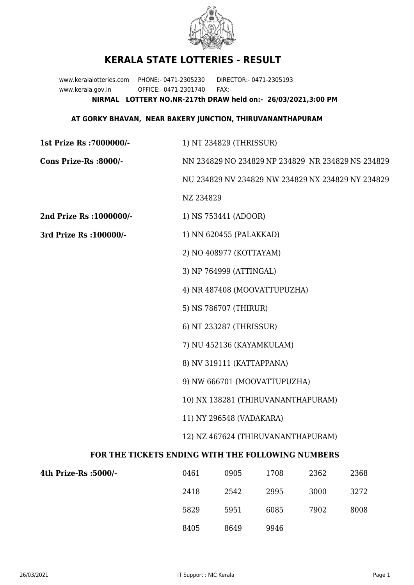

## **KERALA STATE LOTTERIES - RESULT**

www.keralalotteries.com PHONE:- 0471-2305230 DIRECTOR:- 0471-2305193 www.kerala.gov.in OFFICE:- 0471-2301740 FAX:- **NIRMAL LOTTERY NO.NR-217th DRAW held on:- 26/03/2021,3:00 PM**

## **AT GORKY BHAVAN, NEAR BAKERY JUNCTION, THIRUVANANTHAPURAM**

| 1st Prize Rs : 7000000/-                          | 1) NT 234829 (THRISSUR)                                                                                                              |                      |      |      |                                                   |  |
|---------------------------------------------------|--------------------------------------------------------------------------------------------------------------------------------------|----------------------|------|------|---------------------------------------------------|--|
| Cons Prize-Rs :8000/-                             |                                                                                                                                      |                      |      |      | NN 234829 NO 234829 NP 234829 NR 234829 NS 234829 |  |
|                                                   | NU 234829 NV 234829 NW 234829 NX 234829 NY 234829                                                                                    |                      |      |      |                                                   |  |
|                                                   | NZ 234829                                                                                                                            |                      |      |      |                                                   |  |
| 2nd Prize Rs : 1000000/-                          |                                                                                                                                      | 1) NS 753441 (ADOOR) |      |      |                                                   |  |
| 3rd Prize Rs : 100000/-                           | 1) NN 620455 (PALAKKAD)                                                                                                              |                      |      |      |                                                   |  |
|                                                   | 2) NO 408977 (KOTTAYAM)                                                                                                              |                      |      |      |                                                   |  |
|                                                   | 3) NP 764999 (ATTINGAL)                                                                                                              |                      |      |      |                                                   |  |
|                                                   | 4) NR 487408 (MOOVATTUPUZHA)                                                                                                         |                      |      |      |                                                   |  |
|                                                   | 5) NS 786707 (THIRUR)                                                                                                                |                      |      |      |                                                   |  |
|                                                   | 6) NT 233287 (THRISSUR)                                                                                                              |                      |      |      |                                                   |  |
|                                                   | 7) NU 452136 (KAYAMKULAM)                                                                                                            |                      |      |      |                                                   |  |
|                                                   | 8) NV 319111 (KATTAPPANA)                                                                                                            |                      |      |      |                                                   |  |
|                                                   | 9) NW 666701 (MOOVATTUPUZHA)<br>10) NX 138281 (THIRUVANANTHAPURAM)<br>11) NY 296548 (VADAKARA)<br>12) NZ 467624 (THIRUVANANTHAPURAM) |                      |      |      |                                                   |  |
|                                                   |                                                                                                                                      |                      |      |      |                                                   |  |
|                                                   |                                                                                                                                      |                      |      |      |                                                   |  |
|                                                   |                                                                                                                                      |                      |      |      |                                                   |  |
| FOR THE TICKETS ENDING WITH THE FOLLOWING NUMBERS |                                                                                                                                      |                      |      |      |                                                   |  |
| 4th Prize-Rs :5000/-                              | 0461                                                                                                                                 | 0905                 | 1708 | 2362 | 2368                                              |  |
|                                                   | 2418                                                                                                                                 | 2542                 | 2995 | 3000 | 3272                                              |  |
|                                                   | 5829                                                                                                                                 | 5951                 | 6085 | 7902 | 8008                                              |  |

8405 8649 9946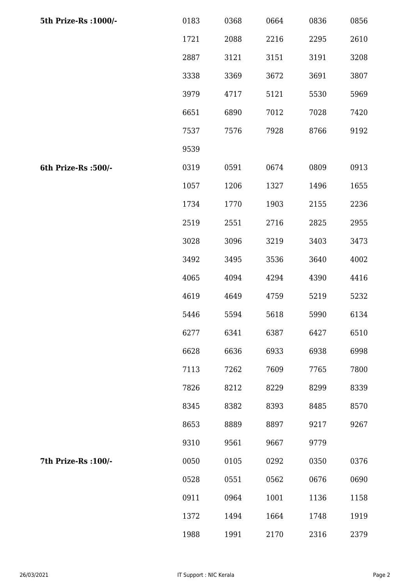| 5th Prize-Rs : 1000/- | 0183 | 0368 | 0664 | 0836 | 0856 |
|-----------------------|------|------|------|------|------|
|                       | 1721 | 2088 | 2216 | 2295 | 2610 |
|                       | 2887 | 3121 | 3151 | 3191 | 3208 |
|                       | 3338 | 3369 | 3672 | 3691 | 3807 |
|                       | 3979 | 4717 | 5121 | 5530 | 5969 |
|                       | 6651 | 6890 | 7012 | 7028 | 7420 |
|                       | 7537 | 7576 | 7928 | 8766 | 9192 |
|                       | 9539 |      |      |      |      |
| 6th Prize-Rs :500/-   | 0319 | 0591 | 0674 | 0809 | 0913 |
|                       | 1057 | 1206 | 1327 | 1496 | 1655 |
|                       | 1734 | 1770 | 1903 | 2155 | 2236 |
|                       | 2519 | 2551 | 2716 | 2825 | 2955 |
|                       | 3028 | 3096 | 3219 | 3403 | 3473 |
|                       | 3492 | 3495 | 3536 | 3640 | 4002 |
|                       | 4065 | 4094 | 4294 | 4390 | 4416 |
|                       | 4619 | 4649 | 4759 | 5219 | 5232 |
|                       | 5446 | 5594 | 5618 | 5990 | 6134 |
|                       | 6277 | 6341 | 6387 | 6427 | 6510 |
|                       | 6628 | 6636 | 6933 | 6938 | 6998 |
|                       | 7113 | 7262 | 7609 | 7765 | 7800 |
|                       | 7826 | 8212 | 8229 | 8299 | 8339 |
|                       | 8345 | 8382 | 8393 | 8485 | 8570 |
|                       | 8653 | 8889 | 8897 | 9217 | 9267 |
|                       | 9310 | 9561 | 9667 | 9779 |      |
| 7th Prize-Rs : 100/-  | 0050 | 0105 | 0292 | 0350 | 0376 |
|                       | 0528 | 0551 | 0562 | 0676 | 0690 |
|                       | 0911 | 0964 | 1001 | 1136 | 1158 |
|                       | 1372 | 1494 | 1664 | 1748 | 1919 |
|                       | 1988 | 1991 | 2170 | 2316 | 2379 |